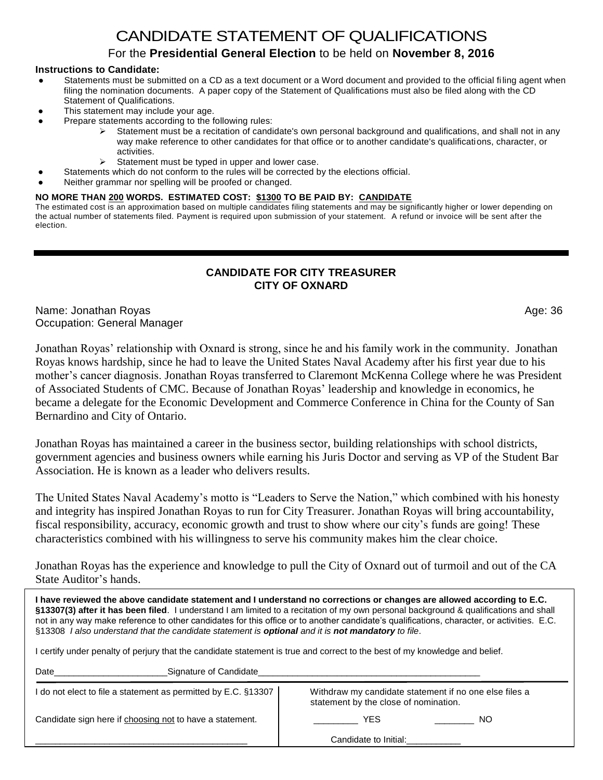# CANDIDATE STATEMENT OF QUALIFICATIONS

## For the **Presidential General Election** to be held on **November 8, 2016**

#### **Instructions to Candidate:**

- Statements must be submitted on a CD as a text document or a Word document and provided to the official filing agent when filing the nomination documents. A paper copy of the Statement of Qualifications must also be filed along with the CD Statement of Qualifications.
- This statement may include your age.
- Prepare statements according to the following rules:
	- Statement must be a recitation of candidate's own personal background and qualifications, and shall not in any way make reference to other candidates for that office or to another candidate's qualifications, character, or activities.
	- $\triangleright$  Statement must be typed in upper and lower case.
- Statements which do not conform to the rules will be corrected by the elections official.
- Neither grammar nor spelling will be proofed or changed.

#### **NO MORE THAN 200 WORDS. ESTIMATED COST: \$1300 TO BE PAID BY: CANDIDATE**

The estimated cost is an approximation based on multiple candidates filing statements and may be significantly higher or lower depending on the actual number of statements filed. Payment is required upon submission of your statement. A refund or invoice will be sent after the election.

### **CANDIDATE FOR CITY TREASURER CITY OF OXNARD**

Name: Jonathan Royas Age: 36 Occupation: General Manager

Jonathan Royas' relationship with Oxnard is strong, since he and his family work in the community. Jonathan Royas knows hardship, since he had to leave the United States Naval Academy after his first year due to his mother's cancer diagnosis. Jonathan Royas transferred to Claremont McKenna College where he was President of Associated Students of CMC. Because of Jonathan Royas' leadership and knowledge in economics, he became a delegate for the Economic Development and Commerce Conference in China for the County of San Bernardino and City of Ontario.

Jonathan Royas has maintained a career in the business sector, building relationships with school districts, government agencies and business owners while earning his Juris Doctor and serving as VP of the Student Bar Association. He is known as a leader who delivers results.

The United States Naval Academy's motto is "Leaders to Serve the Nation," which combined with his honesty and integrity has inspired Jonathan Royas to run for City Treasurer. Jonathan Royas will bring accountability, fiscal responsibility, accuracy, economic growth and trust to show where our city's funds are going! These characteristics combined with his willingness to serve his community makes him the clear choice.

Jonathan Royas has the experience and knowledge to pull the City of Oxnard out of turmoil and out of the CA State Auditor's hands.

**I have reviewed the above candidate statement and I understand no corrections or changes are allowed according to E.C. §13307(3) after it has been filed**. I understand I am limited to a recitation of my own personal background & qualifications and shall not in any way make reference to other candidates for this office or to another candidate's qualifications, character, or activities. E.C. §13308 *I also understand that the candidate statement is optional and it is not mandatory to file*.

I certify under penalty of perjury that the candidate statement is true and correct to the best of my knowledge and belief.

| Signature of Candidate<br>Date                                 |                                                                                                 |
|----------------------------------------------------------------|-------------------------------------------------------------------------------------------------|
| I do not elect to file a statement as permitted by E.C. §13307 | Withdraw my candidate statement if no one else files a<br>statement by the close of nomination. |
| Candidate sign here if choosing not to have a statement.       | YES<br>NO                                                                                       |
|                                                                | Candidate to Initial:                                                                           |